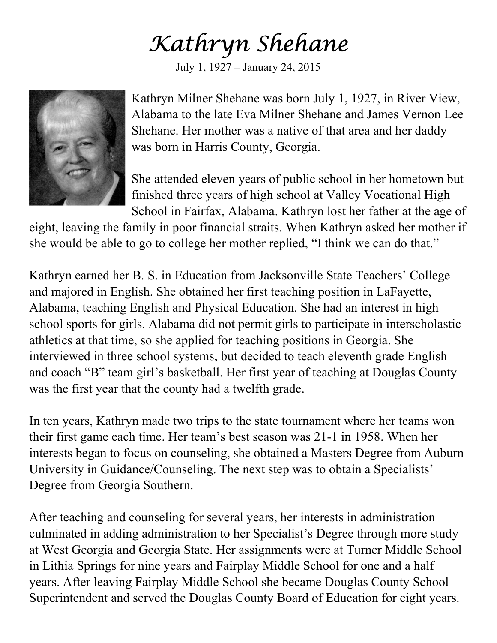## Kathryn Shehane

July 1, 1927 – January 24, 2015



Kathryn Milner Shehane was born July 1, 1927, in River View, Alabama to the late Eva Milner Shehane and James Vernon Lee Shehane. Her mother was a native of that area and her daddy was born in Harris County, Georgia.

She attended eleven years of public school in her hometown but finished three years of high school at Valley Vocational High School in Fairfax, Alabama. Kathryn lost her father at the age of

eight, leaving the family in poor financial straits. When Kathryn asked her mother if she would be able to go to college her mother replied, "I think we can do that."

Kathryn earned her B. S. in Education from Jacksonville State Teachers' College and majored in English. She obtained her first teaching position in LaFayette, Alabama, teaching English and Physical Education. She had an interest in high school sports for girls. Alabama did not permit girls to participate in interscholastic athletics at that time, so she applied for teaching positions in Georgia. She interviewed in three school systems, but decided to teach eleventh grade English and coach "B" team girl's basketball. Her first year of teaching at Douglas County was the first year that the county had a twelfth grade.

In ten years, Kathryn made two trips to the state tournament where her teams won their first game each time. Her team's best season was 21-1 in 1958. When her interests began to focus on counseling, she obtained a Masters Degree from Auburn University in Guidance/Counseling. The next step was to obtain a Specialists' Degree from Georgia Southern.

After teaching and counseling for several years, her interests in administration culminated in adding administration to her Specialist's Degree through more study at West Georgia and Georgia State. Her assignments were at Turner Middle School in Lithia Springs for nine years and Fairplay Middle School for one and a half years. After leaving Fairplay Middle School she became Douglas County School Superintendent and served the Douglas County Board of Education for eight years.